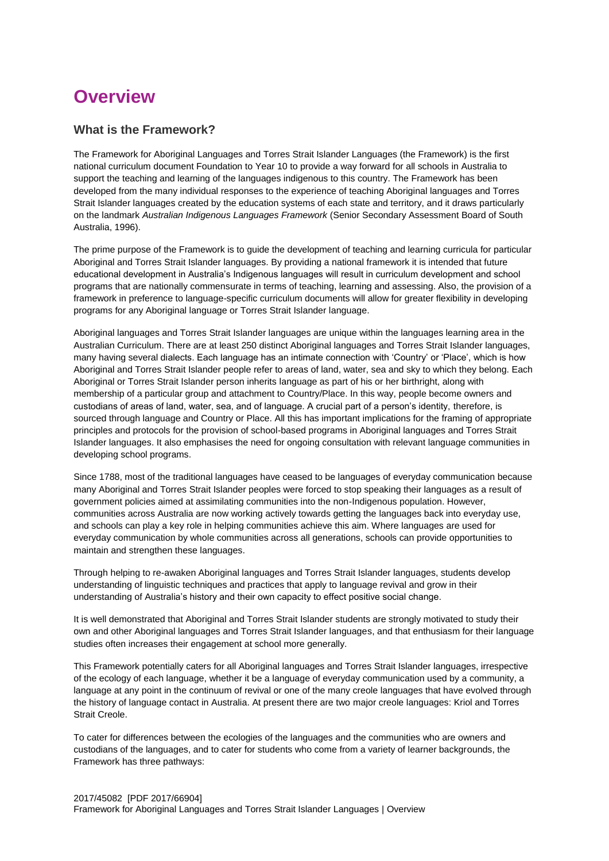# **Overview**

# **What is the Framework?**

The Framework for Aboriginal Languages and Torres Strait Islander Languages (the Framework) is the first national curriculum document Foundation to Year 10 to provide a way forward for all schools in Australia to support the teaching and learning of the languages indigenous to this country. The Framework has been developed from the many individual responses to the experience of teaching Aboriginal languages and Torres Strait Islander languages created by the education systems of each state and territory, and it draws particularly on the landmark *Australian Indigenous Languages Framework* (Senior Secondary Assessment Board of South Australia, 1996).

The prime purpose of the Framework is to guide the development of teaching and learning curricula for particular Aboriginal and Torres Strait Islander languages. By providing a national framework it is intended that future educational development in Australia's Indigenous languages will result in curriculum development and school programs that are nationally commensurate in terms of teaching, learning and assessing. Also, the provision of a framework in preference to language-specific curriculum documents will allow for greater flexibility in developing programs for any Aboriginal language or Torres Strait Islander language.

Aboriginal languages and Torres Strait Islander languages are unique within the languages learning area in the Australian Curriculum. There are at least 250 distinct Aboriginal languages and Torres Strait Islander languages, many having several dialects. Each language has an intimate connection with 'Country' or 'Place', which is how Aboriginal and Torres Strait Islander people refer to areas of land, water, sea and sky to which they belong. Each Aboriginal or Torres Strait Islander person inherits language as part of his or her birthright, along with membership of a particular group and attachment to Country/Place. In this way, people become owners and custodians of areas of land, water, sea, and of language. A crucial part of a person's identity, therefore, is sourced through language and Country or Place. All this has important implications for the framing of appropriate principles and protocols for the provision of school-based programs in Aboriginal languages and Torres Strait Islander languages. It also emphasises the need for ongoing consultation with relevant language communities in developing school programs.

Since 1788, most of the traditional languages have ceased to be languages of everyday communication because many Aboriginal and Torres Strait Islander peoples were forced to stop speaking their languages as a result of government policies aimed at assimilating communities into the non-Indigenous population. However, communities across Australia are now working actively towards getting the languages back into everyday use, and schools can play a key role in helping communities achieve this aim. Where languages are used for everyday communication by whole communities across all generations, schools can provide opportunities to maintain and strengthen these languages.

Through helping to re-awaken Aboriginal languages and Torres Strait Islander languages, students develop understanding of linguistic techniques and practices that apply to language revival and grow in their understanding of Australia's history and their own capacity to effect positive social change.

It is well demonstrated that Aboriginal and Torres Strait Islander students are strongly motivated to study their own and other Aboriginal languages and Torres Strait Islander languages, and that enthusiasm for their language studies often increases their engagement at school more generally.

This Framework potentially caters for all Aboriginal languages and Torres Strait Islander languages, irrespective of the ecology of each language, whether it be a language of everyday communication used by a community, a language at any point in the continuum of revival or one of the many creole languages that have evolved through the history of language contact in Australia. At present there are two major creole languages: Kriol and Torres Strait Creole.

To cater for differences between the ecologies of the languages and the communities who are owners and custodians of the languages, and to cater for students who come from a variety of learner backgrounds, the Framework has three pathways: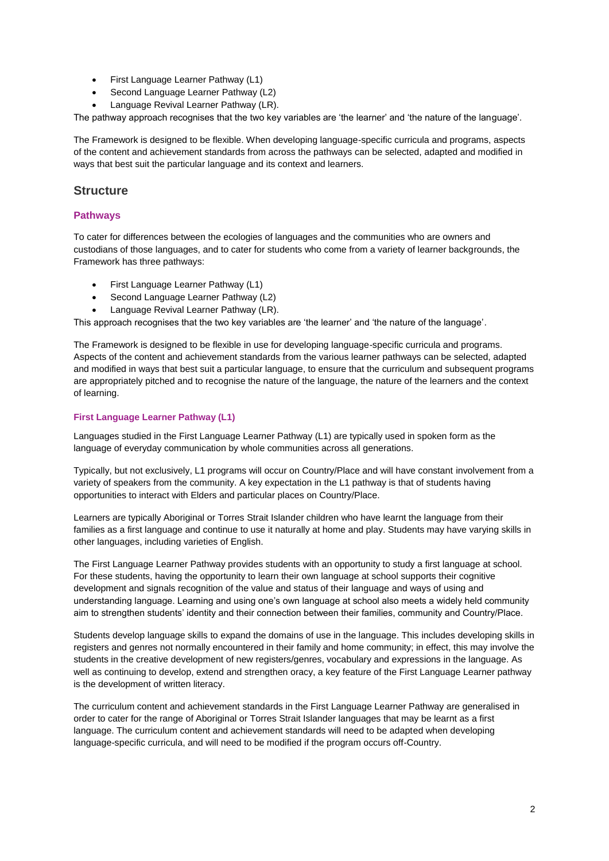- First Language Learner Pathway (L1)
- Second Language Learner Pathway (L2)
- Language Revival Learner Pathway (LR).

The pathway approach recognises that the two key variables are 'the learner' and 'the nature of the language'.

The Framework is designed to be flexible. When developing language-specific curricula and programs, aspects of the content and achievement standards from across the pathways can be selected, adapted and modified in ways that best suit the particular language and its context and learners.

# **Structure**

# **Pathways**

To cater for differences between the ecologies of languages and the communities who are owners and custodians of those languages, and to cater for students who come from a variety of learner backgrounds, the Framework has three pathways:

- First Language Learner Pathway (L1)
- Second Language Learner Pathway (L2)
- Language Revival Learner Pathway (LR).

This approach recognises that the two key variables are 'the learner' and 'the nature of the language'.

The Framework is designed to be flexible in use for developing language-specific curricula and programs. Aspects of the content and achievement standards from the various learner pathways can be selected, adapted and modified in ways that best suit a particular language, to ensure that the curriculum and subsequent programs are appropriately pitched and to recognise the nature of the language, the nature of the learners and the context of learning.

# **First Language Learner Pathway (L1)**

Languages studied in the First Language Learner Pathway (L1) are typically used in spoken form as the language of everyday communication by whole communities across all generations.

Typically, but not exclusively, L1 programs will occur on Country/Place and will have constant involvement from a variety of speakers from the community. A key expectation in the L1 pathway is that of students having opportunities to interact with Elders and particular places on Country/Place.

Learners are typically Aboriginal or Torres Strait Islander children who have learnt the language from their families as a first language and continue to use it naturally at home and play. Students may have varying skills in other languages, including varieties of English.

The First Language Learner Pathway provides students with an opportunity to study a first language at school. For these students, having the opportunity to learn their own language at school supports their cognitive development and signals recognition of the value and status of their language and ways of using and understanding language. Learning and using one's own language at school also meets a widely held community aim to strengthen students' identity and their connection between their families, community and Country/Place.

Students develop language skills to expand the domains of use in the language. This includes developing skills in registers and genres not normally encountered in their family and home community; in effect, this may involve the students in the creative development of new registers/genres, vocabulary and expressions in the language. As well as continuing to develop, extend and strengthen oracy, a key feature of the First Language Learner pathway is the development of written literacy.

The curriculum content and achievement standards in the First Language Learner Pathway are generalised in order to cater for the range of Aboriginal or Torres Strait Islander languages that may be learnt as a first language. The curriculum content and achievement standards will need to be adapted when developing language-specific curricula, and will need to be modified if the program occurs off-Country.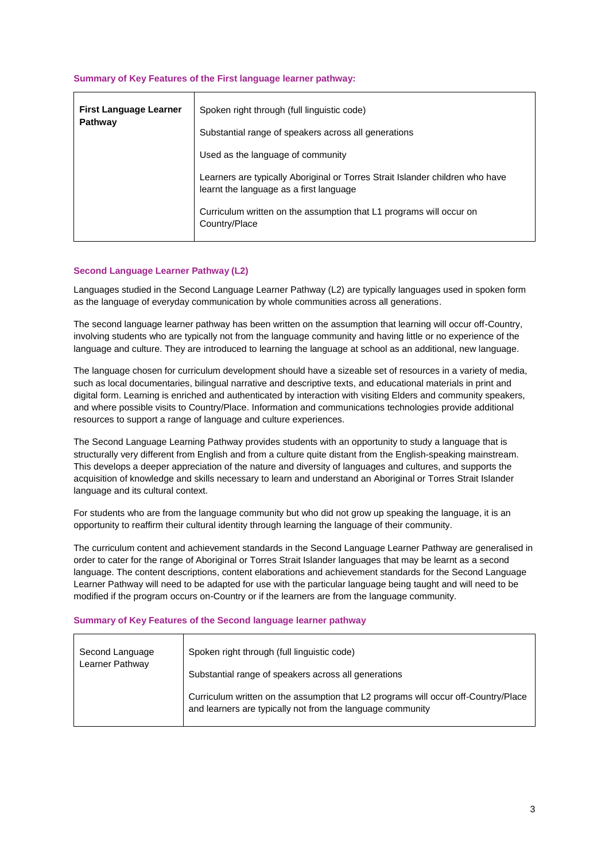### **Summary of Key Features of the First language learner pathway:**

| <b>First Language Learner</b><br>Pathway | Spoken right through (full linguistic code)                                                                              |
|------------------------------------------|--------------------------------------------------------------------------------------------------------------------------|
|                                          | Substantial range of speakers across all generations                                                                     |
|                                          | Used as the language of community                                                                                        |
|                                          | Learners are typically Aboriginal or Torres Strait Islander children who have<br>learnt the language as a first language |
|                                          | Curriculum written on the assumption that L1 programs will occur on<br>Country/Place                                     |

#### **Second Language Learner Pathway (L2)**

Languages studied in the Second Language Learner Pathway (L2) are typically languages used in spoken form as the language of everyday communication by whole communities across all generations.

The second language learner pathway has been written on the assumption that learning will occur off-Country, involving students who are typically not from the language community and having little or no experience of the language and culture. They are introduced to learning the language at school as an additional, new language.

The language chosen for curriculum development should have a sizeable set of resources in a variety of media, such as local documentaries, bilingual narrative and descriptive texts, and educational materials in print and digital form. Learning is enriched and authenticated by interaction with visiting Elders and community speakers, and where possible visits to Country/Place. Information and communications technologies provide additional resources to support a range of language and culture experiences.

The Second Language Learning Pathway provides students with an opportunity to study a language that is structurally very different from English and from a culture quite distant from the English-speaking mainstream. This develops a deeper appreciation of the nature and diversity of languages and cultures, and supports the acquisition of knowledge and skills necessary to learn and understand an Aboriginal or Torres Strait Islander language and its cultural context.

For students who are from the language community but who did not grow up speaking the language, it is an opportunity to reaffirm their cultural identity through learning the language of their community.

The curriculum content and achievement standards in the Second Language Learner Pathway are generalised in order to cater for the range of Aboriginal or Torres Strait Islander languages that may be learnt as a second language. The content descriptions, content elaborations and achievement standards for the Second Language Learner Pathway will need to be adapted for use with the particular language being taught and will need to be modified if the program occurs on-Country or if the learners are from the language community.

#### **Summary of Key Features of the Second language learner pathway**

| Second Language | Spoken right through (full linguistic code)                                                                                                      |
|-----------------|--------------------------------------------------------------------------------------------------------------------------------------------------|
| Learner Pathway | Substantial range of speakers across all generations                                                                                             |
|                 | Curriculum written on the assumption that L2 programs will occur off-Country/Place<br>and learners are typically not from the language community |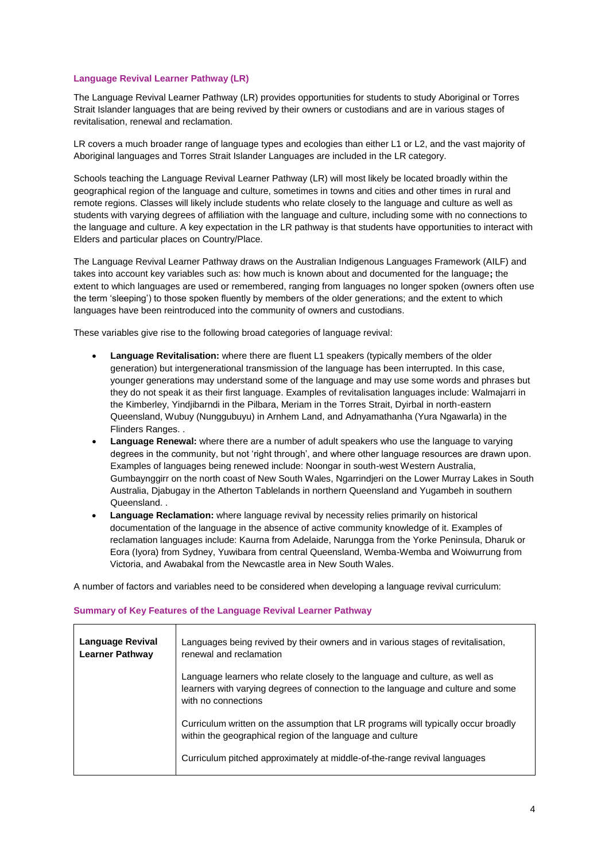#### **Language Revival Learner Pathway (LR)**

The Language Revival Learner Pathway (LR) provides opportunities for students to study Aboriginal or Torres Strait Islander languages that are being revived by their owners or custodians and are in various stages of revitalisation, renewal and reclamation.

LR covers a much broader range of language types and ecologies than either L1 or L2, and the vast majority of Aboriginal languages and Torres Strait Islander Languages are included in the LR category.

Schools teaching the Language Revival Learner Pathway (LR) will most likely be located broadly within the geographical region of the language and culture, sometimes in towns and cities and other times in rural and remote regions. Classes will likely include students who relate closely to the language and culture as well as students with varying degrees of affiliation with the language and culture, including some with no connections to the language and culture. A key expectation in the LR pathway is that students have opportunities to interact with Elders and particular places on Country/Place.

The Language Revival Learner Pathway draws on the Australian Indigenous Languages Framework (AILF) and takes into account key variables such as: how much is known about and documented for the language**;** the extent to which languages are used or remembered, ranging from languages no longer spoken (owners often use the term 'sleeping') to those spoken fluently by members of the older generations; and the extent to which languages have been reintroduced into the community of owners and custodians.

These variables give rise to the following broad categories of language revival:

- **Language Revitalisation:** where there are fluent L1 speakers (typically members of the older generation) but intergenerational transmission of the language has been interrupted. In this case, younger generations may understand some of the language and may use some words and phrases but they do not speak it as their first language. Examples of revitalisation languages include: Walmajarri in the Kimberley, Yindjibarndi in the Pilbara, Meriam in the Torres Strait, Dyirbal in north-eastern Queensland, Wubuy (Nunggubuyu) in Arnhem Land, and Adnyamathanha (Yura Ngawarla) in the Flinders Ranges. .
- **Language Renewal:** where there are a number of adult speakers who use the language to varying degrees in the community, but not 'right through', and where other language resources are drawn upon. Examples of languages being renewed include: Noongar in south-west Western Australia, Gumbaynggirr on the north coast of New South Wales, Ngarrindjeri on the Lower Murray Lakes in South Australia, Djabugay in the Atherton Tablelands in northern Queensland and Yugambeh in southern Queensland. .
- **Language Reclamation:** where language revival by necessity relies primarily on historical documentation of the language in the absence of active community knowledge of it. Examples of reclamation languages include: Kaurna from Adelaide, Narungga from the Yorke Peninsula, Dharuk or Eora (Iyora) from Sydney, Yuwibara from central Queensland, Wemba-Wemba and Woiwurrung from Victoria, and Awabakal from the Newcastle area in New South Wales.

A number of factors and variables need to be considered when developing a language revival curriculum:

# **Summary of Key Features of the Language Revival Learner Pathway**

| <b>Language Revival</b><br><b>Learner Pathway</b> | Languages being revived by their owners and in various stages of revitalisation,<br>renewal and reclamation                                                                             |  |  |  |
|---------------------------------------------------|-----------------------------------------------------------------------------------------------------------------------------------------------------------------------------------------|--|--|--|
|                                                   | Language learners who relate closely to the language and culture, as well as<br>learners with varying degrees of connection to the language and culture and some<br>with no connections |  |  |  |
|                                                   | Curriculum written on the assumption that LR programs will typically occur broadly<br>within the geographical region of the language and culture                                        |  |  |  |
|                                                   | Curriculum pitched approximately at middle-of-the-range revival languages                                                                                                               |  |  |  |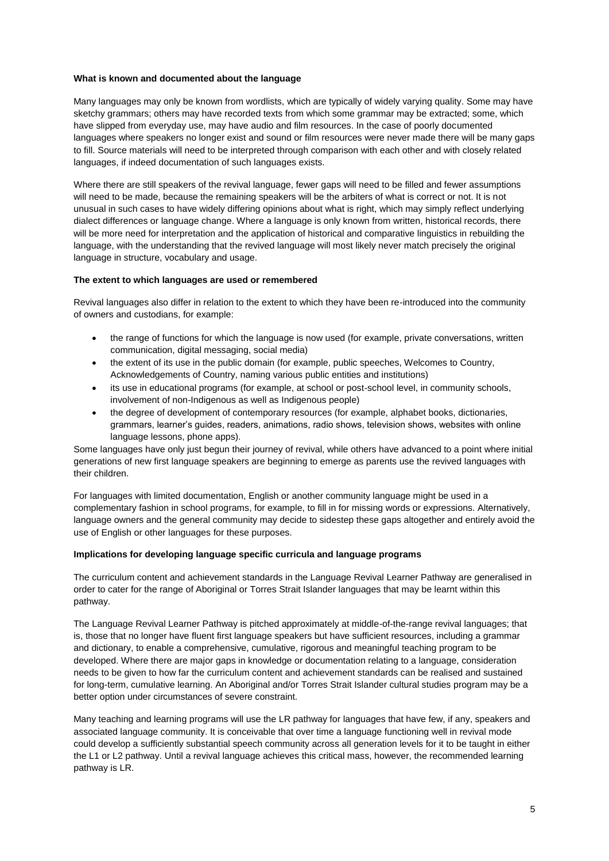#### **What is known and documented about the language**

Many languages may only be known from wordlists, which are typically of widely varying quality. Some may have sketchy grammars; others may have recorded texts from which some grammar may be extracted; some, which have slipped from everyday use, may have audio and film resources. In the case of poorly documented languages where speakers no longer exist and sound or film resources were never made there will be many gaps to fill. Source materials will need to be interpreted through comparison with each other and with closely related languages, if indeed documentation of such languages exists.

Where there are still speakers of the revival language, fewer gaps will need to be filled and fewer assumptions will need to be made, because the remaining speakers will be the arbiters of what is correct or not. It is not unusual in such cases to have widely differing opinions about what is right, which may simply reflect underlying dialect differences or language change. Where a language is only known from written, historical records, there will be more need for interpretation and the application of historical and comparative linguistics in rebuilding the language, with the understanding that the revived language will most likely never match precisely the original language in structure, vocabulary and usage.

# **The extent to which languages are used or remembered**

Revival languages also differ in relation to the extent to which they have been re-introduced into the community of owners and custodians, for example:

- the range of functions for which the language is now used (for example, private conversations, written communication, digital messaging, social media)
- the extent of its use in the public domain (for example, public speeches, Welcomes to Country, Acknowledgements of Country, naming various public entities and institutions)
- its use in educational programs (for example, at school or post-school level, in community schools, involvement of non-Indigenous as well as Indigenous people)
- the degree of development of contemporary resources (for example, alphabet books, dictionaries, grammars, learner's guides, readers, animations, radio shows, television shows, websites with online language lessons, phone apps).

Some languages have only just begun their journey of revival, while others have advanced to a point where initial generations of new first language speakers are beginning to emerge as parents use the revived languages with their children.

For languages with limited documentation, English or another community language might be used in a complementary fashion in school programs, for example, to fill in for missing words or expressions. Alternatively, language owners and the general community may decide to sidestep these gaps altogether and entirely avoid the use of English or other languages for these purposes.

#### **Implications for developing language specific curricula and language programs**

The curriculum content and achievement standards in the Language Revival Learner Pathway are generalised in order to cater for the range of Aboriginal or Torres Strait Islander languages that may be learnt within this pathway.

The Language Revival Learner Pathway is pitched approximately at middle-of-the-range revival languages; that is, those that no longer have fluent first language speakers but have sufficient resources, including a grammar and dictionary, to enable a comprehensive, cumulative, rigorous and meaningful teaching program to be developed. Where there are major gaps in knowledge or documentation relating to a language, consideration needs to be given to how far the curriculum content and achievement standards can be realised and sustained for long-term, cumulative learning. An Aboriginal and/or Torres Strait Islander cultural studies program may be a better option under circumstances of severe constraint.

Many teaching and learning programs will use the LR pathway for languages that have few, if any, speakers and associated language community. It is conceivable that over time a language functioning well in revival mode could develop a sufficiently substantial speech community across all generation levels for it to be taught in either the L1 or L2 pathway. Until a revival language achieves this critical mass, however, the recommended learning pathway is LR.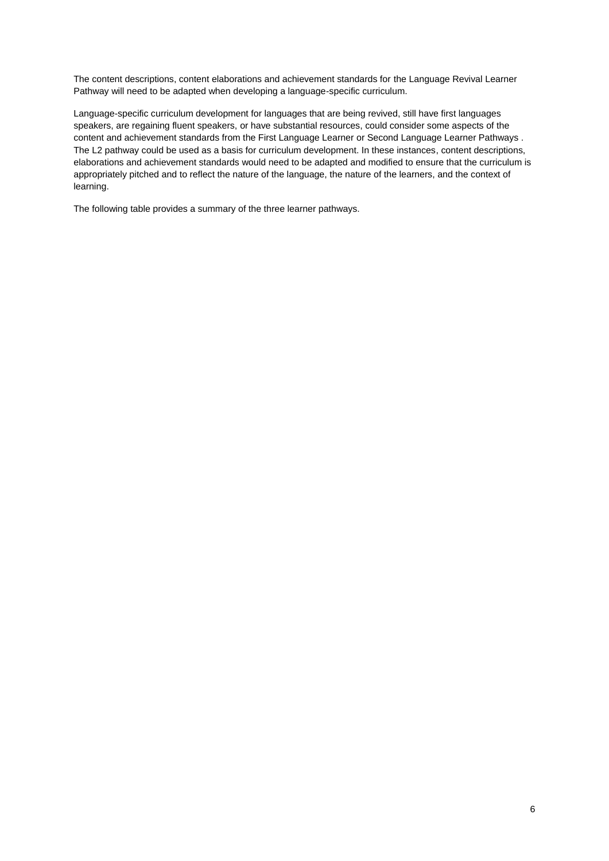The content descriptions, content elaborations and achievement standards for the Language Revival Learner Pathway will need to be adapted when developing a language-specific curriculum.

Language-specific curriculum development for languages that are being revived, still have first languages speakers, are regaining fluent speakers, or have substantial resources, could consider some aspects of the content and achievement standards from the First Language Learner or Second Language Learner Pathways . The L2 pathway could be used as a basis for curriculum development. In these instances, content descriptions, elaborations and achievement standards would need to be adapted and modified to ensure that the curriculum is appropriately pitched and to reflect the nature of the language, the nature of the learners, and the context of learning.

The following table provides a summary of the three learner pathways.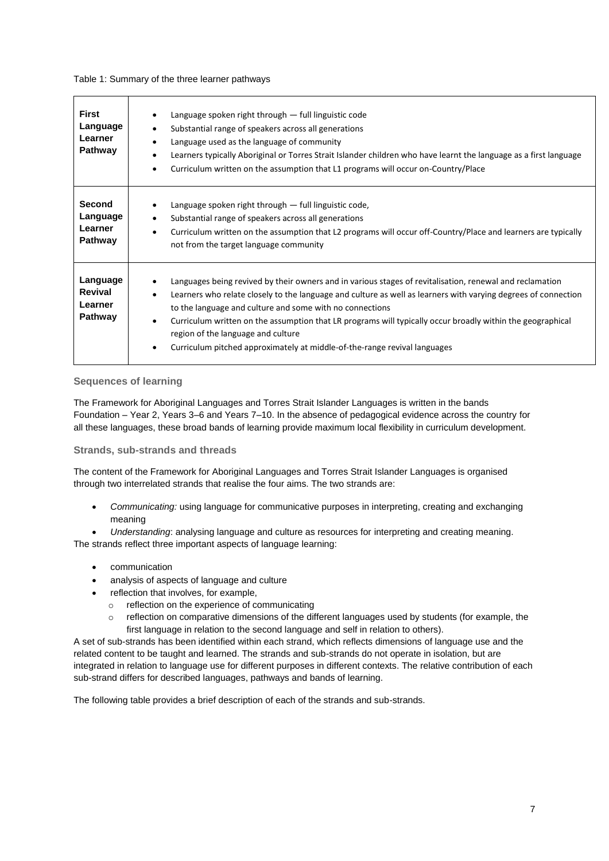#### Table 1: Summary of the three learner pathways

| <b>First</b><br>Language<br>Learner<br><b>Pathway</b>  | Language spoken right through $-$ full linguistic code<br>$\bullet$<br>Substantial range of speakers across all generations<br>$\bullet$<br>Language used as the language of community<br>$\bullet$<br>Learners typically Aboriginal or Torres Strait Islander children who have learnt the language as a first language<br>$\bullet$<br>Curriculum written on the assumption that L1 programs will occur on-Country/Place<br>$\bullet$                                                                                                                        |
|--------------------------------------------------------|----------------------------------------------------------------------------------------------------------------------------------------------------------------------------------------------------------------------------------------------------------------------------------------------------------------------------------------------------------------------------------------------------------------------------------------------------------------------------------------------------------------------------------------------------------------|
| <b>Second</b><br>Language<br>Learner<br><b>Pathway</b> | Language spoken right through $-$ full linguistic code,<br>$\bullet$<br>Substantial range of speakers across all generations<br>$\bullet$<br>Curriculum written on the assumption that L2 programs will occur off-Country/Place and learners are typically<br>$\bullet$<br>not from the target language community                                                                                                                                                                                                                                              |
| Language<br>Revival<br>Learner<br><b>Pathway</b>       | Languages being revived by their owners and in various stages of revitalisation, renewal and reclamation<br>Learners who relate closely to the language and culture as well as learners with varying degrees of connection<br>$\bullet$<br>to the language and culture and some with no connections<br>Curriculum written on the assumption that LR programs will typically occur broadly within the geographical<br>$\bullet$<br>region of the language and culture<br>Curriculum pitched approximately at middle-of-the-range revival languages<br>$\bullet$ |

# **Sequences of learning**

The Framework for Aboriginal Languages and Torres Strait Islander Languages is written in the bands Foundation – Year 2, Years 3–6 and Years 7–10. In the absence of pedagogical evidence across the country for all these languages, these broad bands of learning provide maximum local flexibility in curriculum development.

# **Strands, sub-strands and threads**

The content of the Framework for Aboriginal Languages and Torres Strait Islander Languages is organised through two interrelated strands that realise the four aims. The two strands are:

- *Communicating:* using language for communicative purposes in interpreting, creating and exchanging meaning
- *Understanding*: analysing language and culture as resources for interpreting and creating meaning.

The strands reflect three important aspects of language learning:

- communication
- analysis of aspects of language and culture
- reflection that involves, for example,
	- o reflection on the experience of communicating
	- $\circ$  reflection on comparative dimensions of the different languages used by students (for example, the first language in relation to the second language and self in relation to others).

A set of sub-strands has been identified within each strand, which reflects dimensions of language use and the related content to be taught and learned. The strands and sub-strands do not operate in isolation, but are integrated in relation to language use for different purposes in different contexts. The relative contribution of each sub-strand differs for described languages, pathways and bands of learning.

The following table provides a brief description of each of the strands and sub-strands.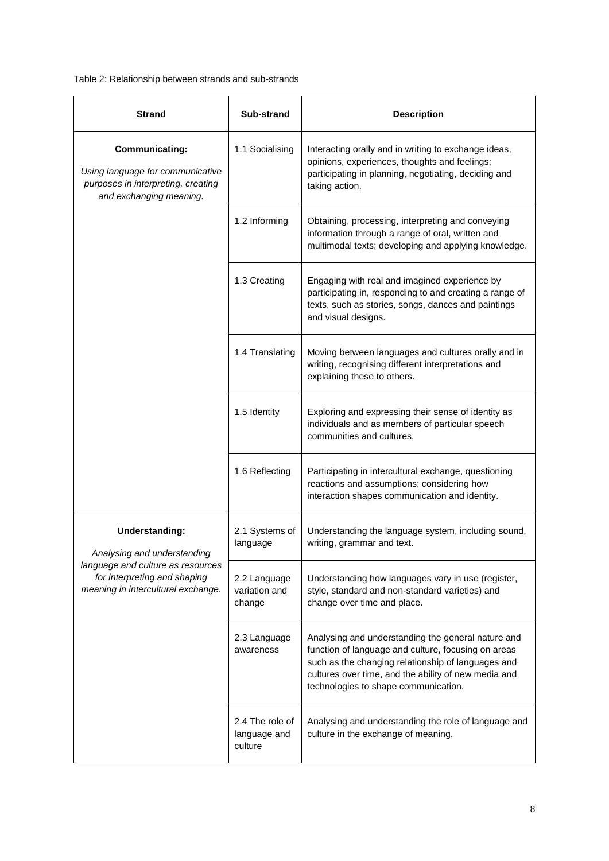Table 2: Relationship between strands and sub-strands

| <b>Strand</b>                                                                                                              | Sub-strand                                 | <b>Description</b>                                                                                                                                                                                                                                              |
|----------------------------------------------------------------------------------------------------------------------------|--------------------------------------------|-----------------------------------------------------------------------------------------------------------------------------------------------------------------------------------------------------------------------------------------------------------------|
| <b>Communicating:</b><br>Using language for communicative<br>purposes in interpreting, creating<br>and exchanging meaning. | 1.1 Socialising                            | Interacting orally and in writing to exchange ideas,<br>opinions, experiences, thoughts and feelings;<br>participating in planning, negotiating, deciding and<br>taking action.                                                                                 |
|                                                                                                                            | 1.2 Informing                              | Obtaining, processing, interpreting and conveying<br>information through a range of oral, written and<br>multimodal texts; developing and applying knowledge.                                                                                                   |
|                                                                                                                            | 1.3 Creating                               | Engaging with real and imagined experience by<br>participating in, responding to and creating a range of<br>texts, such as stories, songs, dances and paintings<br>and visual designs.                                                                          |
|                                                                                                                            | 1.4 Translating                            | Moving between languages and cultures orally and in<br>writing, recognising different interpretations and<br>explaining these to others.                                                                                                                        |
|                                                                                                                            | 1.5 Identity                               | Exploring and expressing their sense of identity as<br>individuals and as members of particular speech<br>communities and cultures.                                                                                                                             |
|                                                                                                                            | 1.6 Reflecting                             | Participating in intercultural exchange, questioning<br>reactions and assumptions; considering how<br>interaction shapes communication and identity.                                                                                                            |
| <b>Understanding:</b><br>Analysing and understanding                                                                       | 2.1 Systems of<br>language                 | Understanding the language system, including sound,<br>writing, grammar and text.                                                                                                                                                                               |
| language and culture as resources<br>for interpreting and shaping<br>meaning in intercultural exchange.                    | 2.2 Language<br>variation and<br>change    | Understanding how languages vary in use (register,<br>style, standard and non-standard varieties) and<br>change over time and place.                                                                                                                            |
|                                                                                                                            | 2.3 Language<br>awareness                  | Analysing and understanding the general nature and<br>function of language and culture, focusing on areas<br>such as the changing relationship of languages and<br>cultures over time, and the ability of new media and<br>technologies to shape communication. |
|                                                                                                                            | 2.4 The role of<br>language and<br>culture | Analysing and understanding the role of language and<br>culture in the exchange of meaning.                                                                                                                                                                     |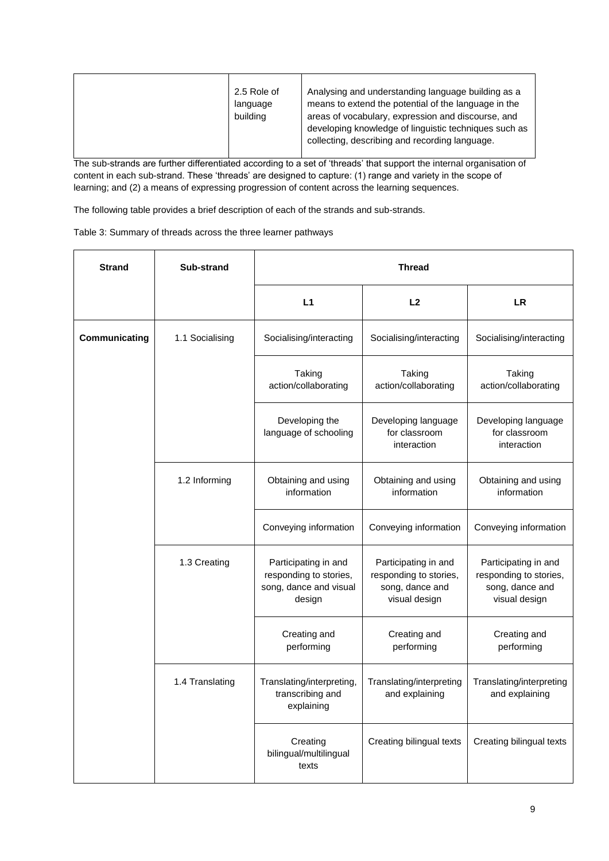|  | 2.5 Role of<br>language<br>building | Analysing and understanding language building as a<br>means to extend the potential of the language in the<br>areas of vocabulary, expression and discourse, and<br>developing knowledge of linguistic techniques such as<br>collecting, describing and recording language. |
|--|-------------------------------------|-----------------------------------------------------------------------------------------------------------------------------------------------------------------------------------------------------------------------------------------------------------------------------|
|--|-------------------------------------|-----------------------------------------------------------------------------------------------------------------------------------------------------------------------------------------------------------------------------------------------------------------------------|

The sub-strands are further differentiated according to a set of 'threads' that support the internal organisation of content in each sub-strand. These 'threads' are designed to capture: (1) range and variety in the scope of learning; and (2) a means of expressing progression of content across the learning sequences.

The following table provides a brief description of each of the strands and sub-strands.

| <b>Strand</b> | Sub-strand      | <b>Thread</b>                                                                      |                                                                                    |                                                                                    |  |
|---------------|-----------------|------------------------------------------------------------------------------------|------------------------------------------------------------------------------------|------------------------------------------------------------------------------------|--|
|               |                 | L1                                                                                 | L2                                                                                 | <b>LR</b>                                                                          |  |
| Communicating | 1.1 Socialising | Socialising/interacting                                                            | Socialising/interacting                                                            | Socialising/interacting                                                            |  |
|               |                 | Taking<br>action/collaborating                                                     | Taking<br>action/collaborating                                                     | Taking<br>action/collaborating                                                     |  |
|               |                 | Developing the<br>language of schooling                                            | Developing language<br>for classroom<br>interaction                                | Developing language<br>for classroom<br>interaction                                |  |
|               | 1.2 Informing   | Obtaining and using<br>information                                                 | Obtaining and using<br>information                                                 | Obtaining and using<br>information                                                 |  |
|               |                 | Conveying information                                                              | Conveying information                                                              | Conveying information                                                              |  |
|               | 1.3 Creating    | Participating in and<br>responding to stories,<br>song, dance and visual<br>design | Participating in and<br>responding to stories,<br>song, dance and<br>visual design | Participating in and<br>responding to stories,<br>song, dance and<br>visual design |  |
|               |                 | Creating and<br>performing                                                         | Creating and<br>performing                                                         | Creating and<br>performing                                                         |  |
|               | 1.4 Translating | Translating/interpreting,<br>transcribing and<br>explaining                        | Translating/interpreting<br>and explaining                                         | Translating/interpreting<br>and explaining                                         |  |
|               |                 | Creating<br>bilingual/multilingual<br>texts                                        | Creating bilingual texts                                                           | Creating bilingual texts                                                           |  |

Table 3: Summary of threads across the three learner pathways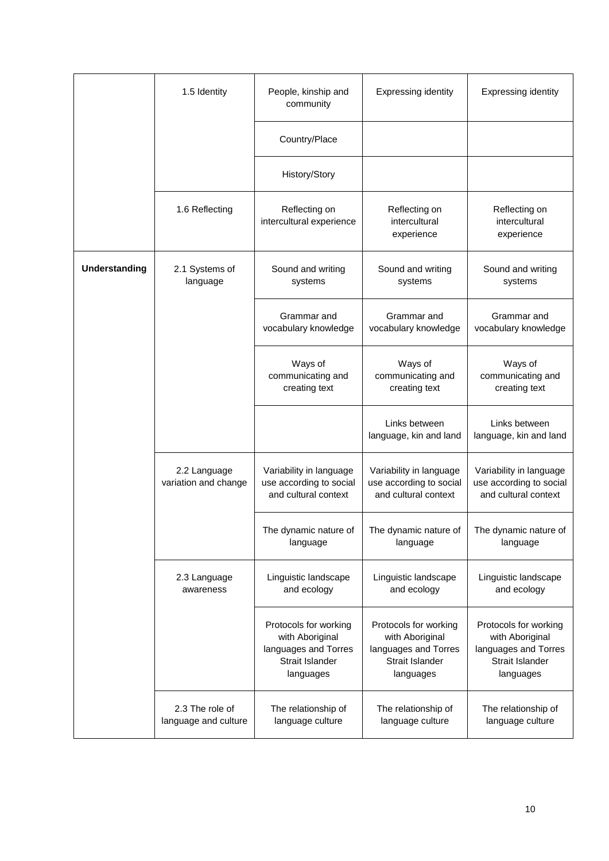|                      | 1.5 Identity                            | People, kinship and<br>community                                                                 | <b>Expressing identity</b>                                                                       | <b>Expressing identity</b>                                                                       |
|----------------------|-----------------------------------------|--------------------------------------------------------------------------------------------------|--------------------------------------------------------------------------------------------------|--------------------------------------------------------------------------------------------------|
|                      |                                         | Country/Place                                                                                    |                                                                                                  |                                                                                                  |
|                      |                                         | History/Story                                                                                    |                                                                                                  |                                                                                                  |
|                      | 1.6 Reflecting                          | Reflecting on<br>intercultural experience                                                        | Reflecting on<br>intercultural<br>experience                                                     | Reflecting on<br>intercultural<br>experience                                                     |
| <b>Understanding</b> | 2.1 Systems of<br>language              | Sound and writing<br>systems                                                                     | Sound and writing<br>systems                                                                     | Sound and writing<br>systems                                                                     |
|                      |                                         | Grammar and<br>vocabulary knowledge                                                              | Grammar and<br>vocabulary knowledge                                                              | Grammar and<br>vocabulary knowledge                                                              |
|                      |                                         | Ways of<br>communicating and<br>creating text                                                    | Ways of<br>communicating and<br>creating text                                                    | Ways of<br>communicating and<br>creating text                                                    |
|                      |                                         |                                                                                                  | Links between<br>language, kin and land                                                          | Links between<br>language, kin and land                                                          |
|                      | 2.2 Language<br>variation and change    | Variability in language<br>use according to social<br>and cultural context                       | Variability in language<br>use according to social<br>and cultural context                       | Variability in language<br>use according to social<br>and cultural context                       |
|                      |                                         | The dynamic nature of<br>language                                                                | The dynamic nature of<br>language                                                                | The dynamic nature of<br>language                                                                |
|                      | 2.3 Language<br>awareness               | Linguistic landscape<br>and ecology                                                              | Linguistic landscape<br>and ecology                                                              | Linguistic landscape<br>and ecology                                                              |
|                      |                                         | Protocols for working<br>with Aboriginal<br>languages and Torres<br>Strait Islander<br>languages | Protocols for working<br>with Aboriginal<br>languages and Torres<br>Strait Islander<br>languages | Protocols for working<br>with Aboriginal<br>languages and Torres<br>Strait Islander<br>languages |
|                      | 2.3 The role of<br>language and culture | The relationship of<br>language culture                                                          | The relationship of<br>language culture                                                          | The relationship of<br>language culture                                                          |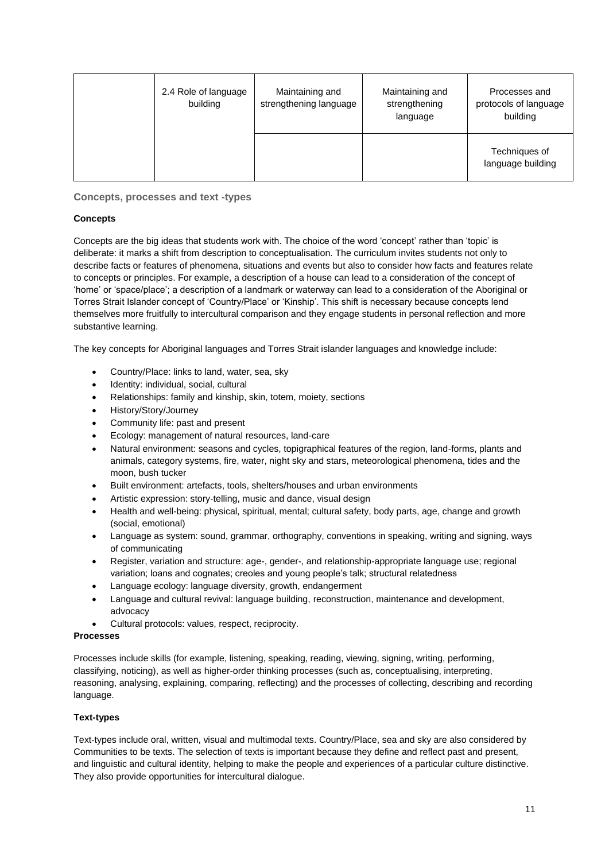| 2.4 Role of language<br>building | Maintaining and<br>strengthening language | Maintaining and<br>strengthening<br>language | Processes and<br>protocols of language<br>building |
|----------------------------------|-------------------------------------------|----------------------------------------------|----------------------------------------------------|
|                                  |                                           |                                              | Techniques of<br>language building                 |

**Concepts, processes and text -types**

# **Concepts**

Concepts are the big ideas that students work with. The choice of the word 'concept' rather than 'topic' is deliberate: it marks a shift from description to conceptualisation. The curriculum invites students not only to describe facts or features of phenomena, situations and events but also to consider how facts and features relate to concepts or principles. For example, a description of a house can lead to a consideration of the concept of 'home' or 'space/place'; a description of a landmark or waterway can lead to a consideration of the Aboriginal or Torres Strait Islander concept of 'Country/Place' or 'Kinship'. This shift is necessary because concepts lend themselves more fruitfully to intercultural comparison and they engage students in personal reflection and more substantive learning.

The key concepts for Aboriginal languages and Torres Strait islander languages and knowledge include:

- Country/Place: links to land, water, sea, sky
- Identity: individual, social, cultural
- Relationships: family and kinship, skin, totem, moiety, sections
- History/Story/Journey
- Community life: past and present
- Ecology: management of natural resources, land-care
- Natural environment: seasons and cycles, topigraphical features of the region, land-forms, plants and animals, category systems, fire, water, night sky and stars, meteorological phenomena, tides and the moon, bush tucker
- Built environment: artefacts, tools, shelters/houses and urban environments
- Artistic expression: story-telling, music and dance, visual design
- Health and well-being: physical, spiritual, mental; cultural safety, body parts, age, change and growth (social, emotional)
- Language as system: sound, grammar, orthography, conventions in speaking, writing and signing, ways of communicating
- Register, variation and structure: age-, gender-, and relationship-appropriate language use; regional variation; loans and cognates; creoles and young people's talk; structural relatedness
- Language ecology: language diversity, growth, endangerment
- Language and cultural revival: language building, reconstruction, maintenance and development, advocacy
- Cultural protocols: values, respect, reciprocity.

# **Processes**

Processes include skills (for example, listening, speaking, reading, viewing, signing, writing, performing, classifying, noticing), as well as higher-order thinking processes (such as, conceptualising, interpreting, reasoning, analysing, explaining, comparing, reflecting) and the processes of collecting, describing and recording language.

# **Text-types**

Text-types include oral, written, visual and multimodal texts. Country/Place, sea and sky are also considered by Communities to be texts. The selection of texts is important because they define and reflect past and present, and linguistic and cultural identity, helping to make the people and experiences of a particular culture distinctive. They also provide opportunities for intercultural dialogue.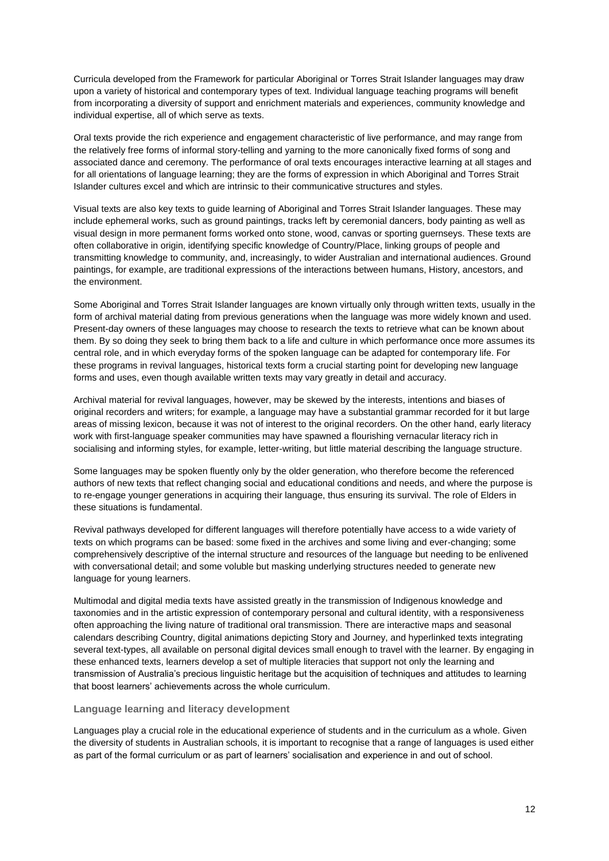Curricula developed from the Framework for particular Aboriginal or Torres Strait Islander languages may draw upon a variety of historical and contemporary types of text. Individual language teaching programs will benefit from incorporating a diversity of support and enrichment materials and experiences, community knowledge and individual expertise, all of which serve as texts.

Oral texts provide the rich experience and engagement characteristic of live performance, and may range from the relatively free forms of informal story-telling and yarning to the more canonically fixed forms of song and associated dance and ceremony. The performance of oral texts encourages interactive learning at all stages and for all orientations of language learning; they are the forms of expression in which Aboriginal and Torres Strait Islander cultures excel and which are intrinsic to their communicative structures and styles.

Visual texts are also key texts to guide learning of Aboriginal and Torres Strait Islander languages. These may include ephemeral works, such as ground paintings, tracks left by ceremonial dancers, body painting as well as visual design in more permanent forms worked onto stone, wood, canvas or sporting guernseys. These texts are often collaborative in origin, identifying specific knowledge of Country/Place, linking groups of people and transmitting knowledge to community, and, increasingly, to wider Australian and international audiences. Ground paintings, for example, are traditional expressions of the interactions between humans, History, ancestors, and the environment.

Some Aboriginal and Torres Strait Islander languages are known virtually only through written texts, usually in the form of archival material dating from previous generations when the language was more widely known and used. Present-day owners of these languages may choose to research the texts to retrieve what can be known about them. By so doing they seek to bring them back to a life and culture in which performance once more assumes its central role, and in which everyday forms of the spoken language can be adapted for contemporary life. For these programs in revival languages, historical texts form a crucial starting point for developing new language forms and uses, even though available written texts may vary greatly in detail and accuracy.

Archival material for revival languages, however, may be skewed by the interests, intentions and biases of original recorders and writers; for example, a language may have a substantial grammar recorded for it but large areas of missing lexicon, because it was not of interest to the original recorders. On the other hand, early literacy work with first-language speaker communities may have spawned a flourishing vernacular literacy rich in socialising and informing styles, for example, letter-writing, but little material describing the language structure.

Some languages may be spoken fluently only by the older generation, who therefore become the referenced authors of new texts that reflect changing social and educational conditions and needs, and where the purpose is to re-engage younger generations in acquiring their language, thus ensuring its survival. The role of Elders in these situations is fundamental.

Revival pathways developed for different languages will therefore potentially have access to a wide variety of texts on which programs can be based: some fixed in the archives and some living and ever-changing; some comprehensively descriptive of the internal structure and resources of the language but needing to be enlivened with conversational detail; and some voluble but masking underlying structures needed to generate new language for young learners.

Multimodal and digital media texts have assisted greatly in the transmission of Indigenous knowledge and taxonomies and in the artistic expression of contemporary personal and cultural identity, with a responsiveness often approaching the living nature of traditional oral transmission. There are interactive maps and seasonal calendars describing Country, digital animations depicting Story and Journey, and hyperlinked texts integrating several text-types, all available on personal digital devices small enough to travel with the learner. By engaging in these enhanced texts, learners develop a set of multiple literacies that support not only the learning and transmission of Australia's precious linguistic heritage but the acquisition of techniques and attitudes to learning that boost learners' achievements across the whole curriculum.

# **Language learning and literacy development**

Languages play a crucial role in the educational experience of students and in the curriculum as a whole. Given the diversity of students in Australian schools, it is important to recognise that a range of languages is used either as part of the formal curriculum or as part of learners' socialisation and experience in and out of school.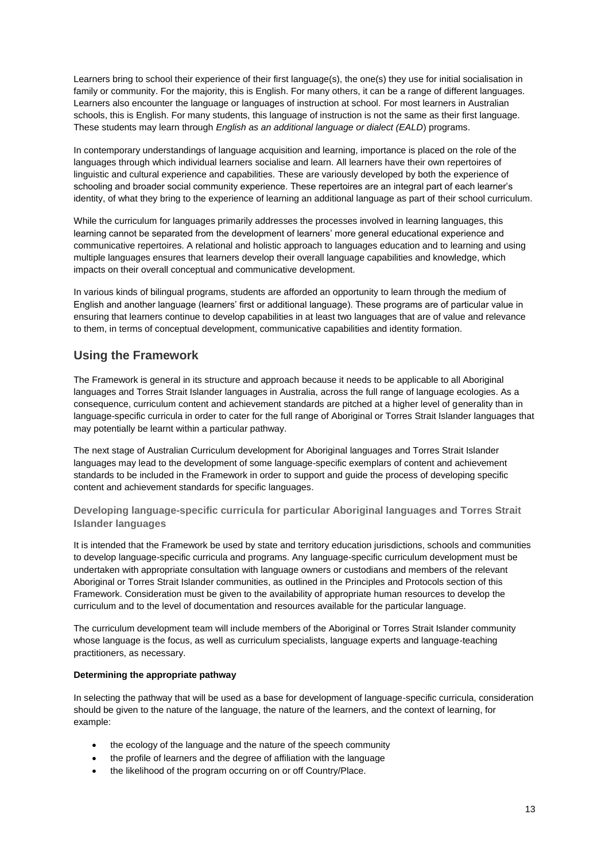Learners bring to school their experience of their first language(s), the one(s) they use for initial socialisation in family or community. For the majority, this is English. For many others, it can be a range of different languages. Learners also encounter the language or languages of instruction at school. For most learners in Australian schools, this is English. For many students, this language of instruction is not the same as their first language. These students may learn through *English as an additional language or dialect (EALD*) programs.

In contemporary understandings of language acquisition and learning, importance is placed on the role of the languages through which individual learners socialise and learn. All learners have their own repertoires of linguistic and cultural experience and capabilities. These are variously developed by both the experience of schooling and broader social community experience. These repertoires are an integral part of each learner's identity, of what they bring to the experience of learning an additional language as part of their school curriculum.

While the curriculum for languages primarily addresses the processes involved in learning languages, this learning cannot be separated from the development of learners' more general educational experience and communicative repertoires. A relational and holistic approach to languages education and to learning and using multiple languages ensures that learners develop their overall language capabilities and knowledge, which impacts on their overall conceptual and communicative development.

In various kinds of bilingual programs, students are afforded an opportunity to learn through the medium of English and another language (learners' first or additional language). These programs are of particular value in ensuring that learners continue to develop capabilities in at least two languages that are of value and relevance to them, in terms of conceptual development, communicative capabilities and identity formation.

# **Using the Framework**

The Framework is general in its structure and approach because it needs to be applicable to all Aboriginal languages and Torres Strait Islander languages in Australia, across the full range of language ecologies. As a consequence, curriculum content and achievement standards are pitched at a higher level of generality than in language-specific curricula in order to cater for the full range of Aboriginal or Torres Strait Islander languages that may potentially be learnt within a particular pathway.

The next stage of Australian Curriculum development for Aboriginal languages and Torres Strait Islander languages may lead to the development of some language-specific exemplars of content and achievement standards to be included in the Framework in order to support and guide the process of developing specific content and achievement standards for specific languages.

**Developing language-specific curricula for particular Aboriginal languages and Torres Strait Islander languages**

It is intended that the Framework be used by state and territory education jurisdictions, schools and communities to develop language-specific curricula and programs. Any language-specific curriculum development must be undertaken with appropriate consultation with language owners or custodians and members of the relevant Aboriginal or Torres Strait Islander communities, as outlined in the Principles and Protocols section of this Framework. Consideration must be given to the availability of appropriate human resources to develop the curriculum and to the level of documentation and resources available for the particular language.

The curriculum development team will include members of the Aboriginal or Torres Strait Islander community whose language is the focus, as well as curriculum specialists, language experts and language-teaching practitioners, as necessary.

# **Determining the appropriate pathway**

In selecting the pathway that will be used as a base for development of language-specific curricula, consideration should be given to the nature of the language, the nature of the learners, and the context of learning, for example:

- the ecology of the language and the nature of the speech community
- the profile of learners and the degree of affiliation with the language
- the likelihood of the program occurring on or off Country/Place.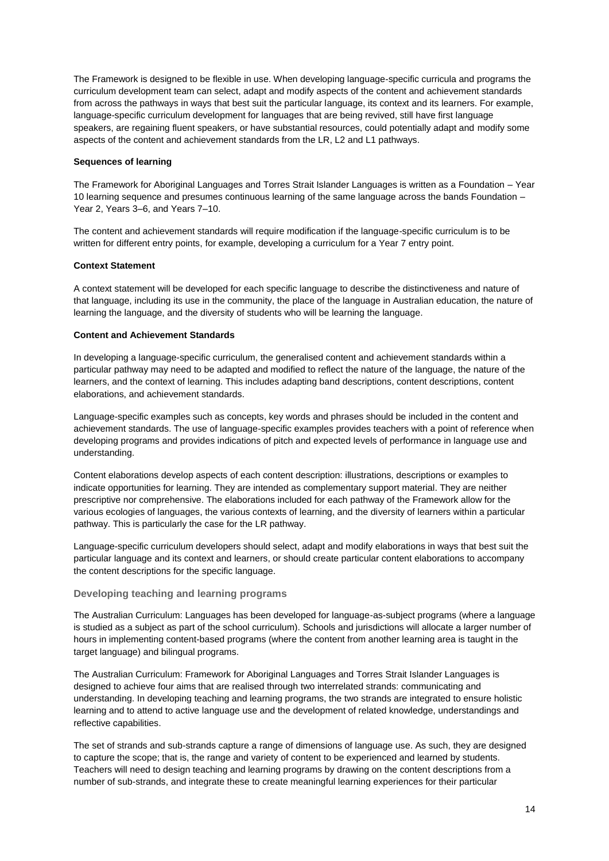The Framework is designed to be flexible in use. When developing language-specific curricula and programs the curriculum development team can select, adapt and modify aspects of the content and achievement standards from across the pathways in ways that best suit the particular language, its context and its learners. For example, language-specific curriculum development for languages that are being revived, still have first language speakers, are regaining fluent speakers, or have substantial resources, could potentially adapt and modify some aspects of the content and achievement standards from the LR, L2 and L1 pathways.

#### **Sequences of learning**

The Framework for Aboriginal Languages and Torres Strait Islander Languages is written as a Foundation – Year 10 learning sequence and presumes continuous learning of the same language across the bands Foundation – Year 2, Years 3–6, and Years 7–10.

The content and achievement standards will require modification if the language-specific curriculum is to be written for different entry points, for example, developing a curriculum for a Year 7 entry point.

#### **Context Statement**

A context statement will be developed for each specific language to describe the distinctiveness and nature of that language, including its use in the community, the place of the language in Australian education, the nature of learning the language, and the diversity of students who will be learning the language.

#### **Content and Achievement Standards**

In developing a language-specific curriculum, the generalised content and achievement standards within a particular pathway may need to be adapted and modified to reflect the nature of the language, the nature of the learners, and the context of learning. This includes adapting band descriptions, content descriptions, content elaborations, and achievement standards.

Language-specific examples such as concepts, key words and phrases should be included in the content and achievement standards. The use of language-specific examples provides teachers with a point of reference when developing programs and provides indications of pitch and expected levels of performance in language use and understanding.

Content elaborations develop aspects of each content description: illustrations, descriptions or examples to indicate opportunities for learning. They are intended as complementary support material. They are neither prescriptive nor comprehensive. The elaborations included for each pathway of the Framework allow for the various ecologies of languages, the various contexts of learning, and the diversity of learners within a particular pathway. This is particularly the case for the LR pathway.

Language-specific curriculum developers should select, adapt and modify elaborations in ways that best suit the particular language and its context and learners, or should create particular content elaborations to accompany the content descriptions for the specific language.

# **Developing teaching and learning programs**

The Australian Curriculum: Languages has been developed for language-as-subject programs (where a language is studied as a subject as part of the school curriculum). Schools and jurisdictions will allocate a larger number of hours in implementing content-based programs (where the content from another learning area is taught in the target language) and bilingual programs.

The Australian Curriculum: Framework for Aboriginal Languages and Torres Strait Islander Languages is designed to achieve four aims that are realised through two interrelated strands: communicating and understanding. In developing teaching and learning programs, the two strands are integrated to ensure holistic learning and to attend to active language use and the development of related knowledge, understandings and reflective capabilities.

The set of strands and sub-strands capture a range of dimensions of language use. As such, they are designed to capture the scope; that is, the range and variety of content to be experienced and learned by students. Teachers will need to design teaching and learning programs by drawing on the content descriptions from a number of sub-strands, and integrate these to create meaningful learning experiences for their particular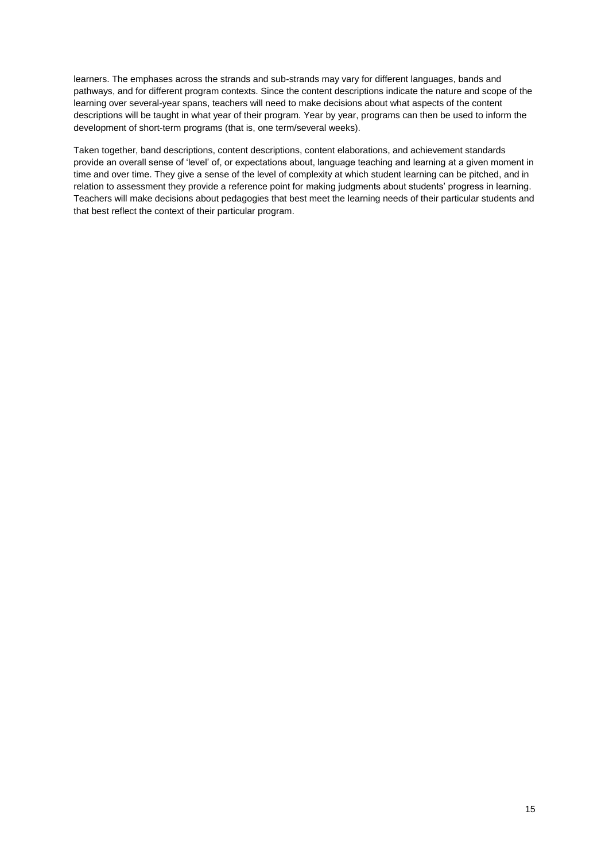learners. The emphases across the strands and sub-strands may vary for different languages, bands and pathways, and for different program contexts. Since the content descriptions indicate the nature and scope of the learning over several-year spans, teachers will need to make decisions about what aspects of the content descriptions will be taught in what year of their program. Year by year, programs can then be used to inform the development of short-term programs (that is, one term/several weeks).

Taken together, band descriptions, content descriptions, content elaborations, and achievement standards provide an overall sense of 'level' of, or expectations about, language teaching and learning at a given moment in time and over time. They give a sense of the level of complexity at which student learning can be pitched, and in relation to assessment they provide a reference point for making judgments about students' progress in learning. Teachers will make decisions about pedagogies that best meet the learning needs of their particular students and that best reflect the context of their particular program.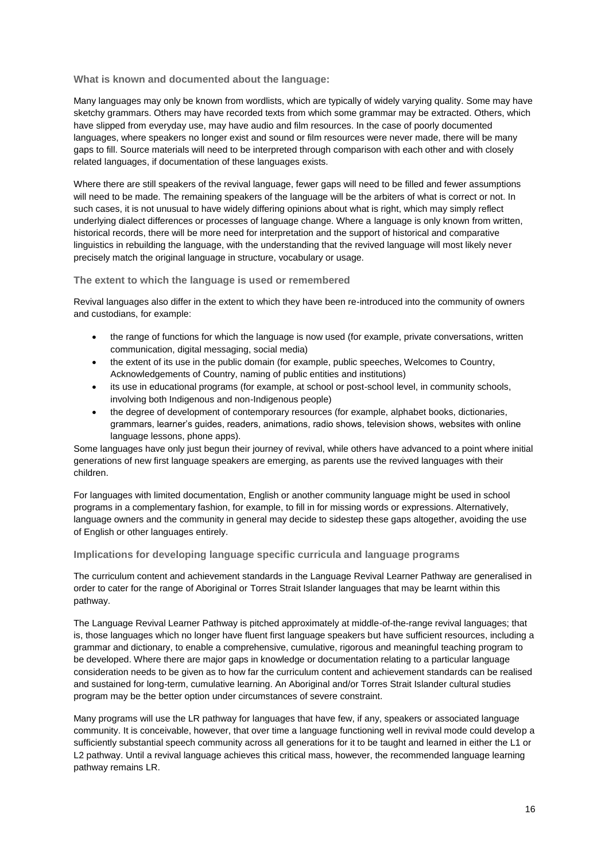### **What is known and documented about the language:**

Many languages may only be known from wordlists, which are typically of widely varying quality. Some may have sketchy grammars. Others may have recorded texts from which some grammar may be extracted. Others, which have slipped from everyday use, may have audio and film resources. In the case of poorly documented languages, where speakers no longer exist and sound or film resources were never made, there will be many gaps to fill. Source materials will need to be interpreted through comparison with each other and with closely related languages, if documentation of these languages exists.

Where there are still speakers of the revival language, fewer gaps will need to be filled and fewer assumptions will need to be made. The remaining speakers of the language will be the arbiters of what is correct or not. In such cases, it is not unusual to have widely differing opinions about what is right, which may simply reflect underlying dialect differences or processes of language change. Where a language is only known from written, historical records, there will be more need for interpretation and the support of historical and comparative linguistics in rebuilding the language, with the understanding that the revived language will most likely never precisely match the original language in structure, vocabulary or usage.

#### **The extent to which the language is used or remembered**

Revival languages also differ in the extent to which they have been re-introduced into the community of owners and custodians, for example:

- the range of functions for which the language is now used (for example, private conversations, written communication, digital messaging, social media)
- the extent of its use in the public domain (for example, public speeches, Welcomes to Country, Acknowledgements of Country, naming of public entities and institutions)
- its use in educational programs (for example, at school or post-school level, in community schools, involving both Indigenous and non-Indigenous people)
- the degree of development of contemporary resources (for example, alphabet books, dictionaries, grammars, learner's guides, readers, animations, radio shows, television shows, websites with online language lessons, phone apps).

Some languages have only just begun their journey of revival, while others have advanced to a point where initial generations of new first language speakers are emerging, as parents use the revived languages with their children.

For languages with limited documentation, English or another community language might be used in school programs in a complementary fashion, for example, to fill in for missing words or expressions. Alternatively, language owners and the community in general may decide to sidestep these gaps altogether, avoiding the use of English or other languages entirely.

### **Implications for developing language specific curricula and language programs**

The curriculum content and achievement standards in the Language Revival Learner Pathway are generalised in order to cater for the range of Aboriginal or Torres Strait Islander languages that may be learnt within this pathway.

The Language Revival Learner Pathway is pitched approximately at middle-of-the-range revival languages; that is, those languages which no longer have fluent first language speakers but have sufficient resources, including a grammar and dictionary, to enable a comprehensive, cumulative, rigorous and meaningful teaching program to be developed. Where there are major gaps in knowledge or documentation relating to a particular language consideration needs to be given as to how far the curriculum content and achievement standards can be realised and sustained for long-term, cumulative learning. An Aboriginal and/or Torres Strait Islander cultural studies program may be the better option under circumstances of severe constraint.

Many programs will use the LR pathway for languages that have few, if any, speakers or associated language community. It is conceivable, however, that over time a language functioning well in revival mode could develop a sufficiently substantial speech community across all generations for it to be taught and learned in either the L1 or L2 pathway. Until a revival language achieves this critical mass, however, the recommended language learning pathway remains LR.